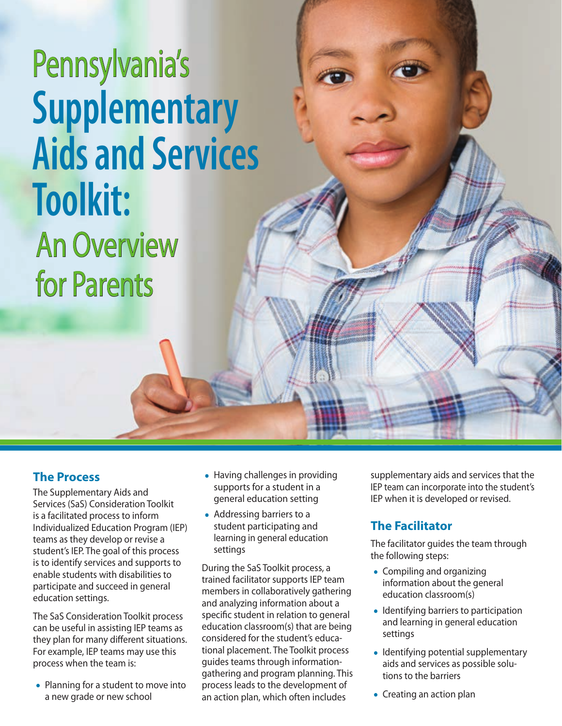# **Supplementary Aids and Services Toolkit:** An Overview for Parents Pennsylvania's

### **The Process**

The Supplementary Aids and Services (SaS) Consideration Toolkit is a facilitated process to inform Individualized Education Program (IEP) teams as they develop or revise a student's IEP. The goal of this process is to identify services and supports to enable students with disabilities to participate and succeed in general education settings.

The SaS Consideration Toolkit process can be useful in assisting IEP teams as they plan for many different situations. For example, IEP teams may use this process when the team is:

• Planning for a student to move into a new grade or new school

- Having challenges in providing supports for a student in a general education setting
- Addressing barriers to a student participating and learning in general education settings

During the SaS Toolkit process, a trained facilitator supports IEP team members in collaboratively gathering and analyzing information about a specific student in relation to general education classroom(s) that are being considered for the student's educational placement. The Toolkit process guides teams through informationgathering and program planning. This process leads to the development of an action plan, which often includes

supplementary aids and services that the IEP team can incorporate into the student's IEP when it is developed or revised.

# **The Facilitator**

The facilitator guides the team through the following steps:

- Compiling and organizing information about the general education classroom(s)
- Identifying barriers to participation and learning in general education settings
- Identifying potential supplementary aids and services as possible solutions to the barriers
- Creating an action plan